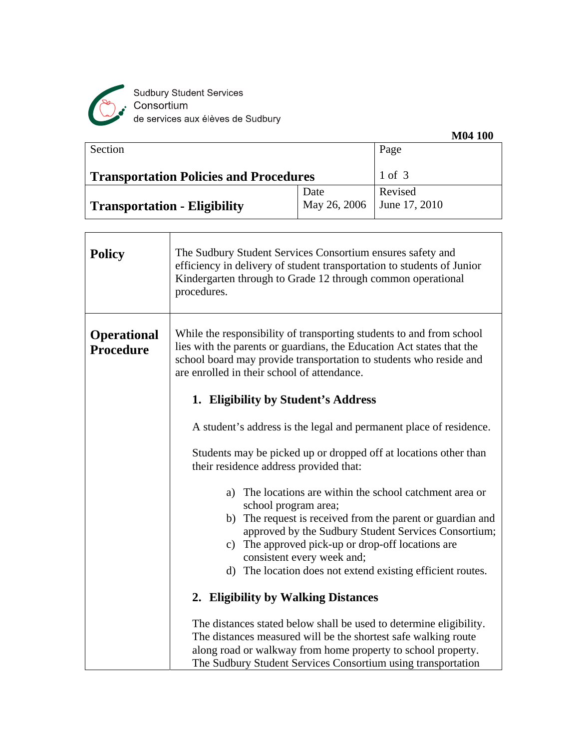

Sudbury Student Services<br>Consortium<br>de services aux élèves de Sudbury

|                                               |                              | <b>M04 100</b> |
|-----------------------------------------------|------------------------------|----------------|
| Section                                       |                              | Page           |
| <b>Transportation Policies and Procedures</b> |                              | 1 of 3         |
|                                               | Date                         | Revised        |
| <b>Transportation - Eligibility</b>           | May 26, 2006   June 17, 2010 |                |

| <b>Policy</b>                          | The Sudbury Student Services Consortium ensures safety and<br>efficiency in delivery of student transportation to students of Junior<br>Kindergarten through to Grade 12 through common operational<br>procedures.                                                   |
|----------------------------------------|----------------------------------------------------------------------------------------------------------------------------------------------------------------------------------------------------------------------------------------------------------------------|
| <b>Operational</b><br><b>Procedure</b> | While the responsibility of transporting students to and from school<br>lies with the parents or guardians, the Education Act states that the<br>school board may provide transportation to students who reside and<br>are enrolled in their school of attendance.   |
|                                        | 1. Eligibility by Student's Address                                                                                                                                                                                                                                  |
|                                        | A student's address is the legal and permanent place of residence.                                                                                                                                                                                                   |
|                                        | Students may be picked up or dropped off at locations other than<br>their residence address provided that:                                                                                                                                                           |
|                                        | The locations are within the school catchment area or<br>a)<br>school program area;                                                                                                                                                                                  |
|                                        | The request is received from the parent or guardian and<br>b)<br>approved by the Sudbury Student Services Consortium;                                                                                                                                                |
|                                        | The approved pick-up or drop-off locations are<br>c)<br>consistent every week and;                                                                                                                                                                                   |
|                                        | d) The location does not extend existing efficient routes.                                                                                                                                                                                                           |
|                                        | 2. Eligibility by Walking Distances                                                                                                                                                                                                                                  |
|                                        | The distances stated below shall be used to determine eligibility.<br>The distances measured will be the shortest safe walking route<br>along road or walkway from home property to school property.<br>The Sudbury Student Services Consortium using transportation |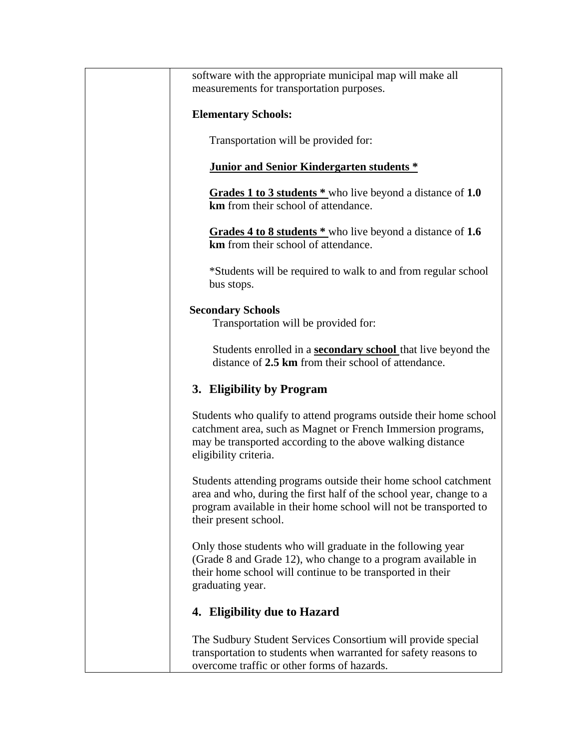| software with the appropriate municipal map will make all                                                                                                                                                                            |
|--------------------------------------------------------------------------------------------------------------------------------------------------------------------------------------------------------------------------------------|
| measurements for transportation purposes.                                                                                                                                                                                            |
|                                                                                                                                                                                                                                      |
| <b>Elementary Schools:</b>                                                                                                                                                                                                           |
| Transportation will be provided for:                                                                                                                                                                                                 |
| Junior and Senior Kindergarten students *                                                                                                                                                                                            |
| Grades 1 to 3 students * who live beyond a distance of 1.0<br>km from their school of attendance.                                                                                                                                    |
| Grades 4 to 8 students * who live beyond a distance of 1.6<br>km from their school of attendance.                                                                                                                                    |
| *Students will be required to walk to and from regular school<br>bus stops.                                                                                                                                                          |
| <b>Secondary Schools</b><br>Transportation will be provided for:                                                                                                                                                                     |
| Students enrolled in a <b>secondary school</b> that live beyond the<br>distance of 2.5 km from their school of attendance.                                                                                                           |
| 3. Eligibility by Program                                                                                                                                                                                                            |
| Students who qualify to attend programs outside their home school<br>catchment area, such as Magnet or French Immersion programs,<br>may be transported according to the above walking distance<br>eligibility criteria.             |
| Students attending programs outside their home school catchment<br>area and who, during the first half of the school year, change to a<br>program available in their home school will not be transported to<br>their present school. |
| Only those students who will graduate in the following year<br>(Grade 8 and Grade 12), who change to a program available in<br>their home school will continue to be transported in their<br>graduating year.                        |
| 4. Eligibility due to Hazard                                                                                                                                                                                                         |
| The Sudbury Student Services Consortium will provide special<br>transportation to students when warranted for safety reasons to<br>overcome traffic or other forms of hazards.                                                       |